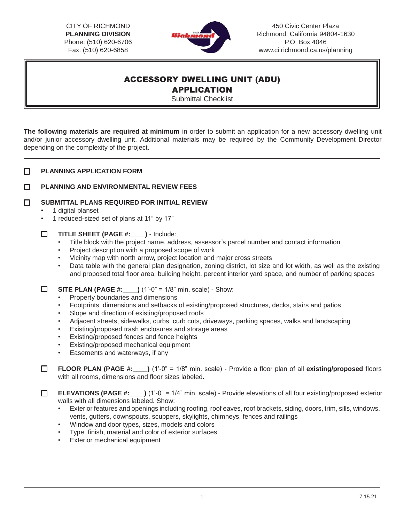CITY OF RICHMOND **PLANNING DIVISION**  Phone: (510) 620-6706 Fax: (510) 620-6858



450 Civic Center Plaza Richmond, California 94804-1630 P.O. Box 404[6](http://www.ci.richmond.ca.us/planning) [www.ci.richmond.ca.us/planning](http://www.ci.richmond.ca.us/planning)

## ACCESSORY DWELLING UNIT (ADU) APPLICATION

Submittal Checklist

**The following materials are required at minimum** in order to submit an application for a new accessory dwelling unit and/or junior accessory dwelling unit. Additional materials may be required by the Community Development Director depending on the complexity of the project.

| П | <b>PLANNING APPLICATION FORM</b> |  |
|---|----------------------------------|--|
|   |                                  |  |

## П **PLANNING AND ENVIRONMENTAL REVIEW FEES**

 $\Box$ **SUBMITTAL PLANS REQUIRED FOR INITIAL REVIEW**

- 1 digital planset
- 1 reduced-sized set of plans at 11" by 17"
- 0 **TITLE SHEET (PAGE #:\_\_\_\_)** - Include:
	- Title block with the project name, address, assessor's parcel number and contact information
	- Project description with a proposed scope of work
	- Vicinity map with north arrow, project location and major cross streets
	- Data table with the general plan designation, zoning district, lot size and lot width, as well as the existing and proposed total floor area, building height, percent interior yard space, and number of parking spaces

 $\Box$ **SITE PLAN (PAGE #:\_\_\_\_)** (1'-0" = 1/8" min. scale) - Show:

- Property boundaries and dimensions
- Footprints, dimensions and setbacks of existing/proposed structures, decks, stairs and patios
- Slope and direction of existing/proposed roofs
- Adjacent streets, sidewalks, curbs, curb cuts, driveways, parking spaces, walks and landscaping
- Existing/proposed trash enclosures and storage areas
- Existing/proposed fences and fence heights
- Existing/proposed mechanical equipment
- Easements and waterways, if any

 $\Box$ **FLOOR PLAN (PAGE #:\_\_\_\_)** (1'-0" = 1/8" min. scale) - Provide a floor plan of all **existing/proposed** floors with all rooms, dimensions and floor sizes labeled.

**ELEVATIONS (PAGE #:** ) (1'-0" = 1/4" min. scale) - Provide elevations of all four existing/proposed exterior  $\Box$ walls with all dimensions labeled. Show:

- Exterior features and openings including roofing, roof eaves, roof brackets, siding, doors, trim, sills, windows, vents, gutters, downspouts, scuppers, skylights, chimneys, fences and railings
- Window and door types, sizes, models and colors
- Type, finish, material and color of exterior surfaces
- **Exterior mechanical equipment**